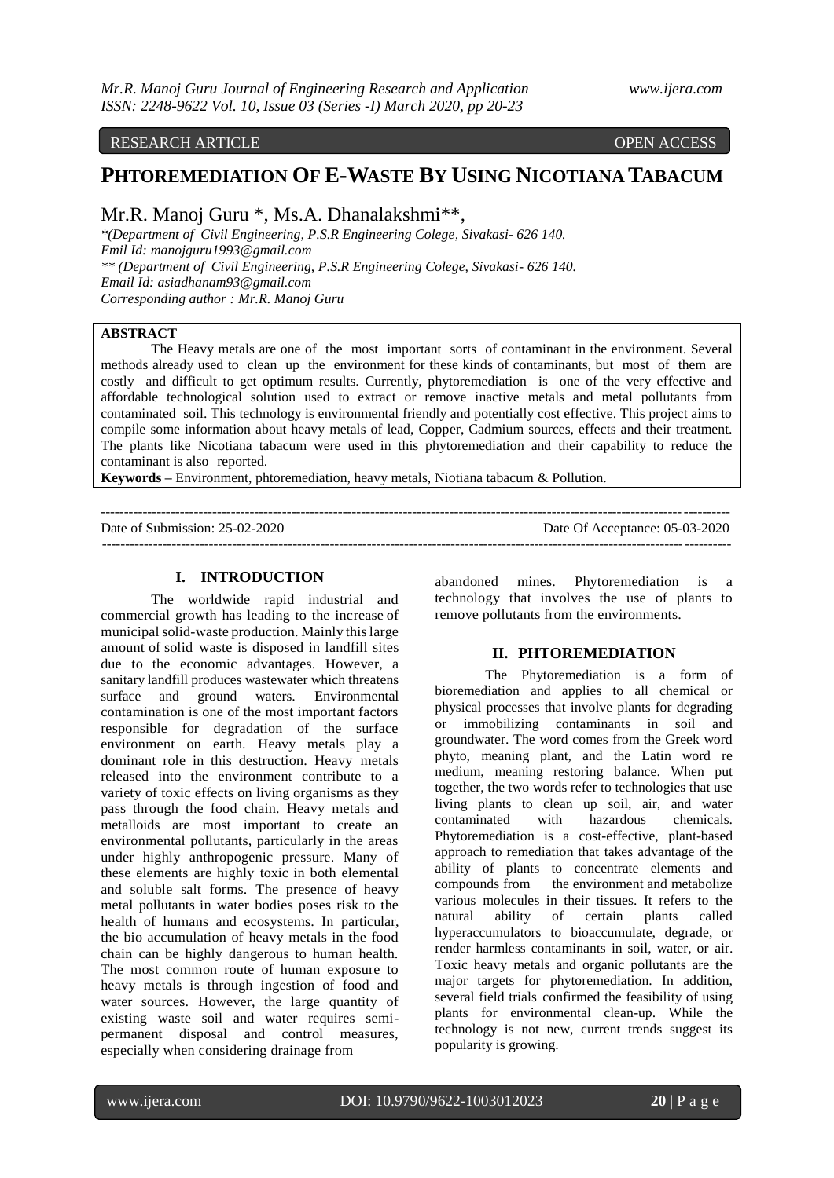#### RESEARCH ARTICLE OPEN ACCESS

# **PHTOREMEDIATION OF E-WASTE BY USING NICOTIANA TABACUM**

Mr.R. Manoj Guru \*, Ms.A. Dhanalakshmi\*\*,

*\*(Department of Civil Engineering, P.S.R Engineering Colege, Sivakasi- 626 140. Emil Id[: manojguru1993@gmail.com](mailto:manojguru1993@gmail.com) \*\* (Department of Civil Engineering, P.S.R Engineering Colege, Sivakasi- 626 140. Email Id: asiadhanam93@gmail.com Corresponding author : Mr.R. Manoj Guru*

# **ABSTRACT**

The Heavy metals are one of the most important sorts of contaminant in the environment. Several methods already used to clean up the environment for these kinds of contaminants, but most of them are costly and difficult to get optimum results. Currently, phytoremediation is one of the very effective and affordable technological solution used to extract or remove inactive metals and metal pollutants from contaminated soil. This technology is environmental friendly and potentially cost effective. This project aims to compile some information about heavy metals of lead, Copper, Cadmium sources, effects and their treatment. The plants like Nicotiana tabacum were used in this phytoremediation and their capability to reduce the contaminant is also reported.

---------------------------------------------------------------------------------------------------------------------------------------

---------------------------------------------------------------------------------------------------------------------------------------

**Keywords –** Environment, phtoremediation, heavy metals, Niotiana tabacum & Pollution.

Date of Submission: 25-02-2020 Date Of Acceptance: 05-03-2020

#### **I. INTRODUCTION**

The worldwide rapid industrial and commercial growth has leading to the increase of municipal solid-waste production. Mainly this large amount of solid waste is disposed in landfill sites due to the economic advantages. However, a sanitary landfill produces wastewater which threatens surface and ground waters. Environmental contamination is one of the most important factors responsible for degradation of the surface environment on earth. Heavy metals play a dominant role in this destruction. Heavy metals released into the environment contribute to a variety of toxic effects on living organisms as they pass through the food chain. Heavy metals and metalloids are most important to create an environmental pollutants, particularly in the areas under highly anthropogenic pressure. Many of these elements are highly toxic in both elemental and soluble salt forms. The presence of heavy metal pollutants in water bodies poses risk to the health of humans and ecosystems. In particular, the bio accumulation of heavy metals in the food chain can be highly dangerous to human health. The most common route of human exposure to heavy metals is through ingestion of food and water sources. However, the large quantity of existing waste soil and water requires semipermanent disposal and control measures, especially when considering drainage from

abandoned mines. Phytoremediation is a technology that involves the use of plants to remove pollutants from the environments.

### **II. PHTOREMEDIATION**

The Phytoremediation is a form of [bioremediation a](https://www.thebalance.com/cleaning-the-environment-through-bioremediation-375586)nd applies to all chemical or physical processes that involve plants for degrading or immobilizing contaminants in soil and groundwater. The word comes from the Greek word phyto, meaning plant, and the Latin word re medium, meaning restoring balance. When put together, the two words refer to technologies that use living plants to clean up soil, air, and water contaminated with hazardous chemicals. Phytoremediation is a cost-effective, plant-based approach to remediation that takes advantage of the ability of plants to concentrate elements and compounds from the environment and metabolize various molecules in their tissues. It refers to the natural ability of certain plants called natural ability of certain plants called hyperaccumulators to bioaccumulate, degrade, or render harmless contaminants in soil, water, or air. Toxic heavy metals and organic pollutants are the major targets for phytoremediation. In addition, several field trials confirmed the feasibility of using plants for environmental clean-up. While the technology is not new, current trends suggest its popularity is growing.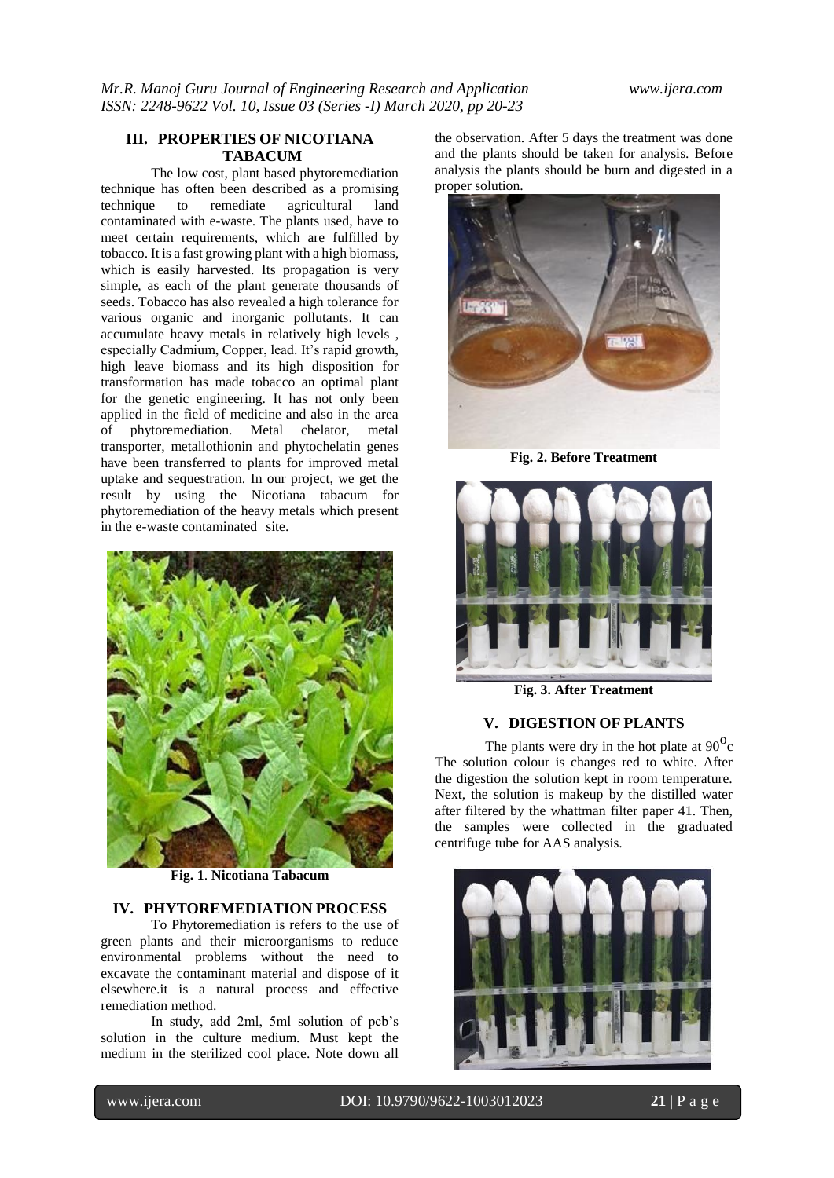# **III. PROPERTIES OF NICOTIANA TABACUM**

The low cost, plant based phytoremediation technique has often been described as a promising<br>technique to remediate agricultural land to remediate agricultural contaminated with e-waste. The plants used, have to meet certain requirements, which are fulfilled by tobacco. It is a fast growing plant with a high biomass, which is easily harvested. Its propagation is very simple, as each of the plant generate thousands of seeds. Tobacco has also revealed a high tolerance for various organic and inorganic pollutants. It can accumulate heavy metals in relatively high levels , especially Cadmium, Copper, lead. It's rapid growth, high leave biomass and its high disposition for transformation has made tobacco an optimal plant for the genetic engineering. It has not only been applied in the field of medicine and also in the area of phytoremediation. Metal chelator, metal transporter, metallothionin and phytochelatin genes have been transferred to plants for improved metal uptake and sequestration. In our project, we get the result by using the Nicotiana tabacum for phytoremediation of the heavy metals which present in the e-waste contaminated site.



**Fig. 1**. **Nicotiana Tabacum**

#### **IV. PHYTOREMEDIATION PROCESS**

To Phytoremediation is refers to the use of green plants and their microorganisms to reduce environmental problems without the need to excavate the contaminant material and dispose of it elsewhere.it is a natural process and effective remediation method.

In study, add 2ml, 5ml solution of pcb's solution in the culture medium. Must kept the medium in the sterilized cool place. Note down all

the observation. After 5 days the treatment was done and the plants should be taken for analysis. Before analysis the plants should be burn and digested in a proper solution.



**Fig. 2. Before Treatment**



**Fig. 3. After Treatment**

### **V. DIGESTION OF PLANTS**

The plants were dry in the hot plate at  $90^{\circ}$ c The solution colour is changes red to white. After the digestion the solution kept in room temperature. Next, the solution is makeup by the distilled water after filtered by the whattman filter paper 41. Then, the samples were collected in the graduated centrifuge tube for AAS analysis.

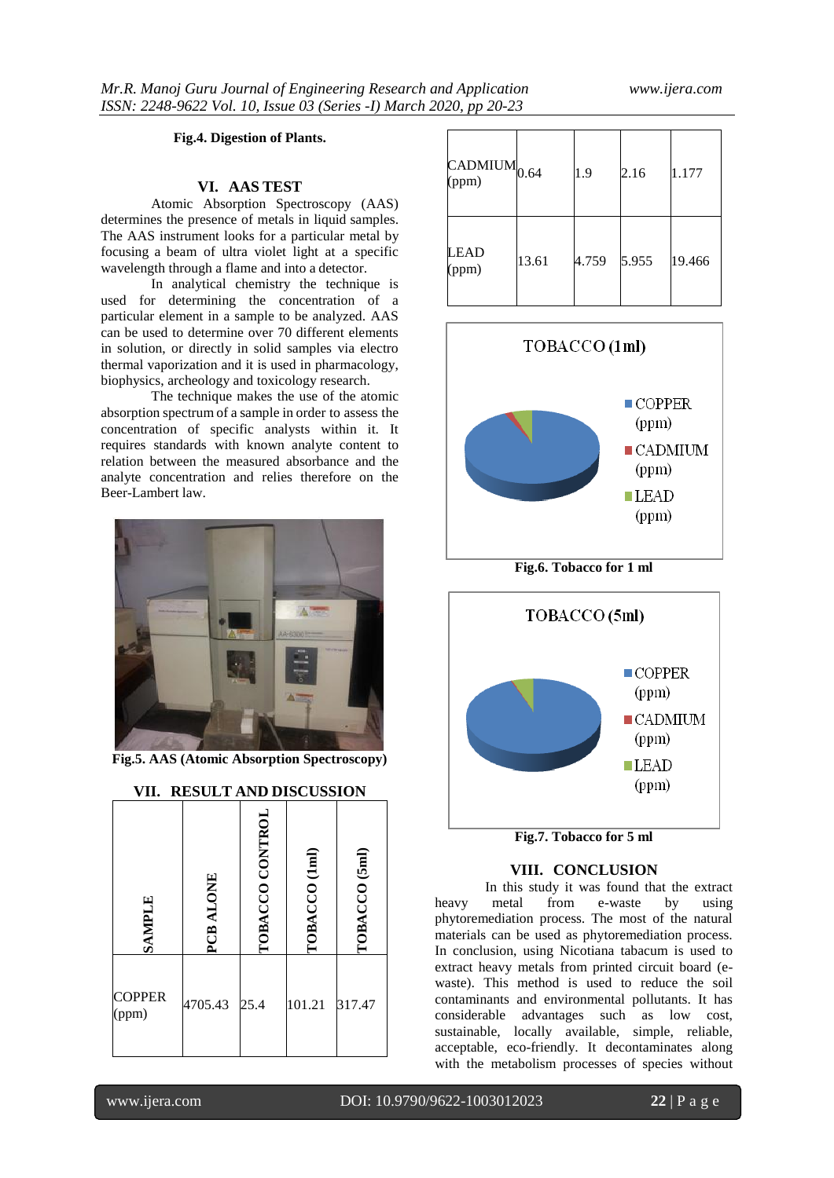### **Fig.4. Digestion of Plants.**

## **VI. AAS TEST**

Atomic Absorption Spectroscopy (AAS) determines the presence of metals in liquid samples. The AAS instrument looks for a particular metal by focusing a beam of ultra violet light at a specific wavelength through a flame and into a detector.

In analytical chemistry the technique is used for determining the concentration of a particular element in a sample to be analyzed. AAS can be used to determine over 70 different elements in solution, or directly in solid samples via electro thermal vaporization and it is used in pharmacology, biophysics, archeology and toxicology research.

The technique makes the use of the atomic absorption spectrum of a sample in order to assess the concentration of specific analysts within it. It requires standards with known analyte content to relation between the measured absorbance and the analyte concentration and relies therefore on the Beer-Lambert law.



**Fig.5. AAS (Atomic Absorption Spectroscopy)**

| <b>SAMPLE</b>          | PCB ALONE | TOBACCO CONTROL | TOBACCO (1ml) | TOBACCO (5ml) |
|------------------------|-----------|-----------------|---------------|---------------|
| <b>COPPER</b><br>(ppm) | 4705.43   | 25.4            | 101.21        | 317.47        |

| VII. RESULT AND DISCUSSION |  |  |
|----------------------------|--|--|
|                            |  |  |

| $CADMIUM$ <sub>0.64</sub><br>(ppm) |       | 1.9   | 2.16  | 1.177  |
|------------------------------------|-------|-------|-------|--------|
| LEAD<br>(ppm)                      | 13.61 | 4.759 | 5.955 | 19.466 |



**Fig.6. Tobacco for 1 ml**



**Fig.7. Tobacco for 5 ml**

# **VIII. CONCLUSION**

In this study it was found that the extract heavy metal from e-waste by using phytoremediation process. The most of the natural materials can be used as phytoremediation process. In conclusion, using Nicotiana tabacum is used to extract heavy metals from printed circuit board (ewaste). This method is used to reduce the soil contaminants and environmental pollutants. It has considerable advantages such as low cost, sustainable, locally available, simple, reliable, acceptable, eco-friendly. It decontaminates along with the metabolism processes of species without